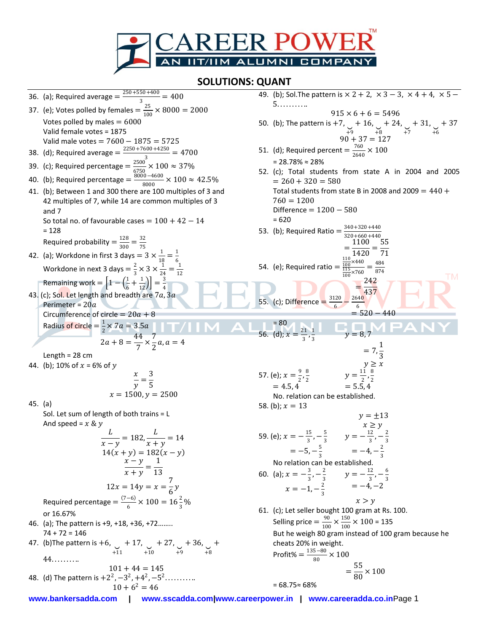

## **SOLUTIONS: QUANT**